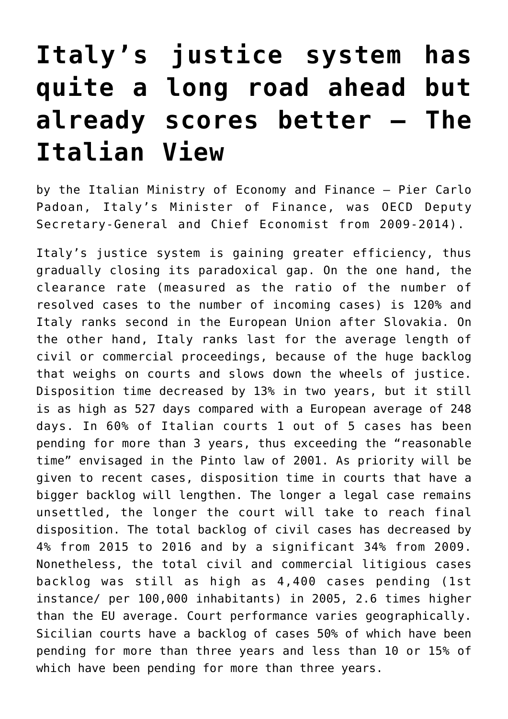## **[Italy's justice system has](https://oecdecoscope.blog/2017/10/09/italys-justice-system-has-quite-a-long-road-ahead-but-already-scores-better-the-italian-view/) [quite a long road ahead but](https://oecdecoscope.blog/2017/10/09/italys-justice-system-has-quite-a-long-road-ahead-but-already-scores-better-the-italian-view/) [already scores better – The](https://oecdecoscope.blog/2017/10/09/italys-justice-system-has-quite-a-long-road-ahead-but-already-scores-better-the-italian-view/) [Italian View](https://oecdecoscope.blog/2017/10/09/italys-justice-system-has-quite-a-long-road-ahead-but-already-scores-better-the-italian-view/)**

by the Italian Ministry of Economy and Finance – Pier Carlo Padoan, Italy's Minister of Finance, was OECD Deputy Secretary-General and Chief Economist from 2009-2014).

Italy's justice system is gaining greater efficiency, thus gradually closing its paradoxical gap. On the one hand, the clearance rate (measured as the ratio of the number of resolved cases to the number of incoming cases) is 120% and Italy ranks second in the European Union after Slovakia. On the other hand, Italy ranks last for the average length of civil or commercial proceedings, because of the huge backlog that weighs on courts and slows down the wheels of justice. Disposition time decreased by 13% in two years, but it still is as high as 527 days compared with a European average of 248 days. In 60% of Italian courts 1 out of 5 cases has been pending for more than 3 years, thus exceeding the "reasonable time" envisaged in the Pinto law of 2001. As priority will be given to recent cases, disposition time in courts that have a bigger backlog will lengthen. The longer a legal case remains unsettled, the longer the court will take to reach final disposition. The total backlog of civil cases has decreased by 4% from 2015 to 2016 and by a significant 34% from 2009. Nonetheless, the total civil and commercial litigious cases backlog was still as high as 4,400 cases pending (1st instance/ per 100,000 inhabitants) in 2005, 2.6 times higher than the EU average. Court performance varies geographically. Sicilian courts have a backlog of cases 50% of which have been pending for more than three years and less than 10 or 15% of which have been pending for more than three years.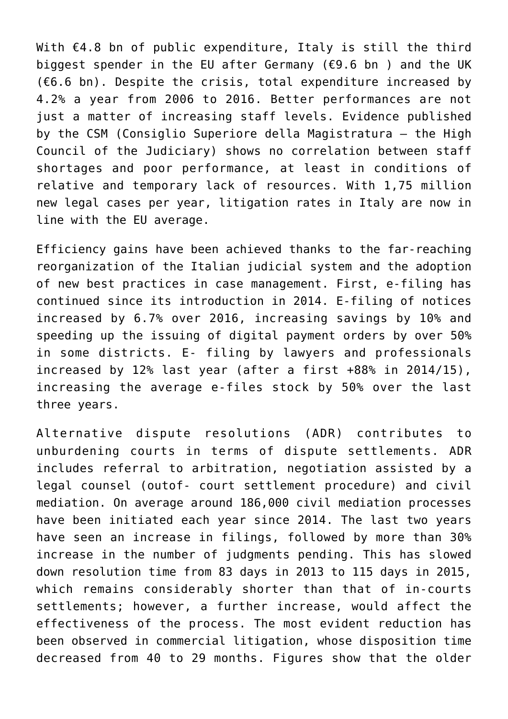With €4.8 bn of public expenditure, Italy is still the third biggest spender in the EU after Germany (€9.6 bn ) and the UK (€6.6 bn). Despite the crisis, total expenditure increased by 4.2% a year from 2006 to 2016. Better performances are not just a matter of increasing staff levels. Evidence published by the CSM (Consiglio Superiore della Magistratura – the High Council of the Judiciary) shows no correlation between staff shortages and poor performance, at least in conditions of relative and temporary lack of resources. With 1,75 million new legal cases per year, litigation rates in Italy are now in line with the EU average.

Efficiency gains have been achieved thanks to the far-reaching reorganization of the Italian judicial system and the adoption of new best practices in case management. First, e-filing has continued since its introduction in 2014. E-filing of notices increased by 6.7% over 2016, increasing savings by 10% and speeding up the issuing of digital payment orders by over 50% in some districts. E- filing by lawyers and professionals increased by 12% last year (after a first +88% in 2014/15), increasing the average e-files stock by 50% over the last three years.

Alternative dispute resolutions (ADR) contributes to unburdening courts in terms of dispute settlements. ADR includes referral to arbitration, negotiation assisted by a legal counsel (outof- court settlement procedure) and civil mediation. On average around 186,000 civil mediation processes have been initiated each year since 2014. The last two years have seen an increase in filings, followed by more than 30% increase in the number of judgments pending. This has slowed down resolution time from 83 days in 2013 to 115 days in 2015, which remains considerably shorter than that of in-courts settlements; however, a further increase, would affect the effectiveness of the process. The most evident reduction has been observed in commercial litigation, whose disposition time decreased from 40 to 29 months. Figures show that the older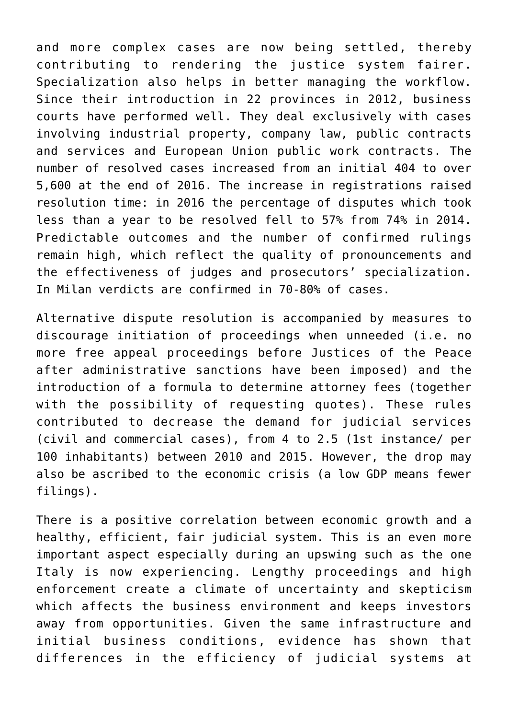and more complex cases are now being settled, thereby contributing to rendering the justice system fairer. Specialization also helps in better managing the workflow. Since their introduction in 22 provinces in 2012, business courts have performed well. They deal exclusively with cases involving industrial property, company law, public contracts and services and European Union public work contracts. The number of resolved cases increased from an initial 404 to over 5,600 at the end of 2016. The increase in registrations raised resolution time: in 2016 the percentage of disputes which took less than a year to be resolved fell to 57% from 74% in 2014. Predictable outcomes and the number of confirmed rulings remain high, which reflect the quality of pronouncements and the effectiveness of judges and prosecutors' specialization. In Milan verdicts are confirmed in 70-80% of cases.

Alternative dispute resolution is accompanied by measures to discourage initiation of proceedings when unneeded (i.e. no more free appeal proceedings before Justices of the Peace after administrative sanctions have been imposed) and the introduction of a formula to determine attorney fees (together with the possibility of requesting quotes). These rules contributed to decrease the demand for judicial services (civil and commercial cases), from 4 to 2.5 (1st instance/ per 100 inhabitants) between 2010 and 2015. However, the drop may also be ascribed to the economic crisis (a low GDP means fewer filings).

There is a positive correlation between economic growth and a healthy, efficient, fair judicial system. This is an even more important aspect especially during an upswing such as the one Italy is now experiencing. Lengthy proceedings and high enforcement create a climate of uncertainty and skepticism which affects the business environment and keeps investors away from opportunities. Given the same infrastructure and initial business conditions, evidence has shown that differences in the efficiency of judicial systems at